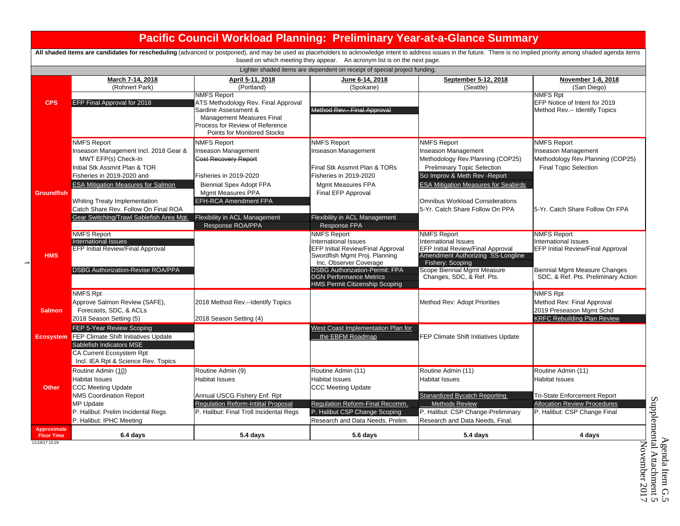|                                         |                                                                                                                                                                                                                                         | <b>Pacific Council Workload Planning: Preliminary Year-at-a-Glance Summary</b>                                                                                                   |                                                                                                                                                                                            |                                                                                                                                                                                                             |                                                                                                                                                           |  |  |
|-----------------------------------------|-----------------------------------------------------------------------------------------------------------------------------------------------------------------------------------------------------------------------------------------|----------------------------------------------------------------------------------------------------------------------------------------------------------------------------------|--------------------------------------------------------------------------------------------------------------------------------------------------------------------------------------------|-------------------------------------------------------------------------------------------------------------------------------------------------------------------------------------------------------------|-----------------------------------------------------------------------------------------------------------------------------------------------------------|--|--|
|                                         | All shaded items are candidates for rescheduling (advanced or postponed), and may be used as placeholders to acknowledge intent to address issues in the future. There is no implied priority among shaded agenda items                 |                                                                                                                                                                                  | based on which meeting they appear. An acronym list is on the next page.                                                                                                                   |                                                                                                                                                                                                             |                                                                                                                                                           |  |  |
|                                         | Lighter shaded items are dependent on receipt of special project funding.                                                                                                                                                               |                                                                                                                                                                                  |                                                                                                                                                                                            |                                                                                                                                                                                                             |                                                                                                                                                           |  |  |
|                                         | March 7-14, 2018<br>(Rohnert Park)                                                                                                                                                                                                      | April 5-11, 2018<br>(Portland)                                                                                                                                                   | June 6-14, 2018<br>(Spokane)                                                                                                                                                               | September 5-12, 2018<br>(Seattle)                                                                                                                                                                           | November 1-8, 2018<br>(San Diego)                                                                                                                         |  |  |
| <b>CPS</b>                              | <b>EFP Final Approval for 2018</b>                                                                                                                                                                                                      | <b>NMFS Report</b><br>ATS Methodology Rev. Final Approval<br>Sardine Assessment &<br>Management Measures Final<br>Process for Review of Reference<br>Points for Monitored Stocks | Method Rev.- Final Approval                                                                                                                                                                |                                                                                                                                                                                                             | <b>NMFS Rpt</b><br>EFP Notice of Intent for 2019<br>Method Rev.-- Identify Topics                                                                         |  |  |
| Groundfish                              | <b>NMFS Report</b><br>Inseason Management Incl. 2018 Gear &<br>MWT EFP(s) Check-In<br>Initial Stk Assmnt Plan & TOR<br>Fisheries in 2019-2020 and<br><b>ESA Mitigation Measures for Salmon</b>                                          | <b>NMFS Report</b><br>Inseason Management<br><b>Cost Recovery Report</b><br>Fisheries in 2019-2020<br><b>Biennial Spex Adopt FPA</b><br>Mgmt Measures PPA                        | <b>NMFS Report</b><br>nseason Management<br>Final Stk Assmnt Plan & TORs<br>Fisheries in 2019-2020<br>Mgmt Measures FPA<br>Final EFP Approval                                              | <b>NMFS Report</b><br><b>Inseason Management</b><br>Methodology Rev.Planning (COP25)<br><b>Preliminary Topic Selection</b><br>Sci Improv & Meth Rev - Report<br><b>ESA Mitigation Measures for Seabirds</b> | <b>NMFS Report</b><br><b>Inseason Management</b><br>Methodology Rev.Planning (COP25)<br><b>Final Topic Selection</b>                                      |  |  |
|                                         | Whiting Treaty Implementation<br>Catch Share Rev. Follow On Final ROA<br>Gear Switching/Trawl Sablefish Area Mgt.                                                                                                                       | <b>EFH-RCA Amendment FPA</b><br>Flexibility in ACL Management<br>Response ROA/PPA                                                                                                | Flexibility in ACL Management<br>Response FPA                                                                                                                                              | <b>Omnibus Workload Considerations</b><br>5-Yr. Catch Share Follow On PPA                                                                                                                                   | 5-Yr. Catch Share Follow On FPA                                                                                                                           |  |  |
| <b>HMS</b><br>$\rightarrow$             | <b>NMFS Report</b><br><b>International Issues</b><br><b>EFP Initial Review/Final Approval</b><br><b>DSBG Authorization-Revise ROA/PPA</b>                                                                                               |                                                                                                                                                                                  | <b>NMFS Report</b><br>International Issues<br><b>EFP Initial Review/Final Approval</b><br>Swordfish Mgmt Proj. Planning<br>Inc. Observer Coverage<br><b>DSBG Authorization-Permit: FPA</b> | <b>NMFS Report</b><br><b>International Issues</b><br><b>EFP Initial Review/Final Approval</b><br>Amendment Authorizing SS-Longline<br>Fishery: Scoping<br>Scope Biennial Mgmt Measure                       | <b>NMFS Report</b><br><b>International Issues</b><br><b>EFP Initial Review/Final Approval</b><br><b>Biennial Mgmt Measure Changes</b>                     |  |  |
|                                         |                                                                                                                                                                                                                                         |                                                                                                                                                                                  | <b>DGN Performance Metrics</b><br><b>HMS Permit Citizenship Scoping</b>                                                                                                                    | Changes, SDC, & Ref. Pts.                                                                                                                                                                                   | SDC, & Ref. Pts. Preliminary Action                                                                                                                       |  |  |
| <b>Salmon</b>                           | <b>NMFS Rpt</b><br>Approve Salmon Review (SAFE),<br>Forecasts, SDC, & ACLs<br>2018 Season Setting (5)                                                                                                                                   | 2018 Method Rev.--Identify Topics<br>2018 Season Setting (4)                                                                                                                     |                                                                                                                                                                                            | Method Rev: Adopt Priorities                                                                                                                                                                                | <b>NMFS Rpt</b><br>Method Rev: Final Approval<br>2019 Preseason Mgmt Schd<br><b>KRFC Rebuilding Plan Review</b>                                           |  |  |
| <b>Ecosystem</b>                        | FEP 5-Year Review Scoping<br><b>FEP Climate Shift Initiatives Update</b><br>Sablefish Indicators MSE<br><b>CA Current Ecosystem Rpt</b>                                                                                                 |                                                                                                                                                                                  | West Coast Implementation Plan for<br>the EBFM Roadmap                                                                                                                                     | FEP Climate Shift Initiatives Update                                                                                                                                                                        |                                                                                                                                                           |  |  |
| <b>Other</b>                            | Incl. IEA Rpt & Science Rev. Topics<br>Routine Admin (10)<br><b>Habitat Issues</b><br><b>CCC Meeting Update</b><br><b>NMS Coordination Report</b><br><b>MP Update</b><br>P. Halibut: Prelim Incidental Regs<br>P. Halibut: IPHC Meeting | Routine Admin (9)<br><b>Habitat Issues</b><br>Annual USCG Fishery Enf. Rpt<br>Regulation Reform-Intiital Proposal<br>P. Halibut: Final Troll Incidental Regs                     | Routine Admin (11)<br><b>Habitat Issues</b><br><b>CCC Meeting Update</b><br>Regulation Reform-Final Recomm.<br>P. Halibut CSP Change Scoping<br>Research and Data Needs, Prelim.           | Routine Admin (11)<br>Habitat Issues<br>Stanardized Bycatch Reporting<br><b>Methods Review</b><br>P. Halibut: CSP Change-Preliminary<br>Research and Data Needs, Final.                                     | Routine Admin (11)<br><b>Habitat Issues</b><br><b>Tri-State Enforcement Report</b><br><b>Allocation Review Procedures</b><br>P. Halibut: CSP Change Final |  |  |
| <b>Approximate</b><br><b>Floor Time</b> | 6.4 days                                                                                                                                                                                                                                | 5.4 days                                                                                                                                                                         | 5.6 days                                                                                                                                                                                   | 5.4 days                                                                                                                                                                                                    | 4 days                                                                                                                                                    |  |  |

11/19/17 15:29